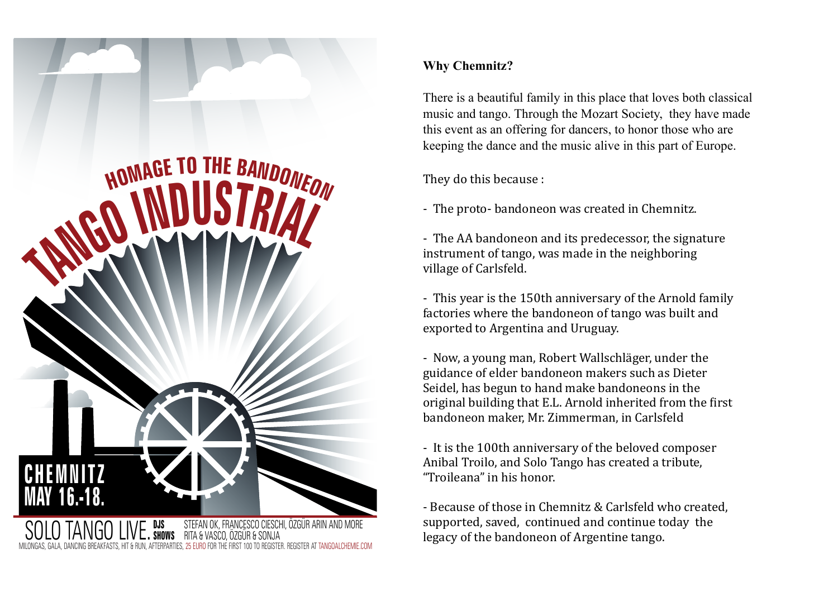

**BEGISTER AT TANGOALCHEMIE CO** 

### **Why Chemnitz?**

There is a beautiful family in this place that loves both classical music and tango. Through the Mozart Society, they have made this event as an offering for dancers, to honor those who are keeping the dance and the music alive in this part of Europe.

They do this because :

- The proto-bandoneon was created in Chemnitz.

- The AA bandoneon and its predecessor, the signature instrument of tango, was made in the neighboring village of Carlsfeld.

- This year is the 150th anniversary of the Arnold family factories where the bandoneon of tango was built and exported to Argentina and Uruguay.

- Now, a young man, Robert Wallschläger, under the guidance of elder bandoneon makers such as Dieter Seidel, has begun to hand make bandoneons in the original building that E.L. Arnold inherited from the first bandoneon maker, Mr. Zimmerman, in Carlsfeld

- It is the 100th anniversary of the beloved composer Anibal Troilo, and Solo Tango has created a tribute, "Troileana" in his honor.

- Because of those in Chemnitz & Carlsfeld who created, supported, saved, continued and continue today the legacy of the bandoneon of Argentine tango.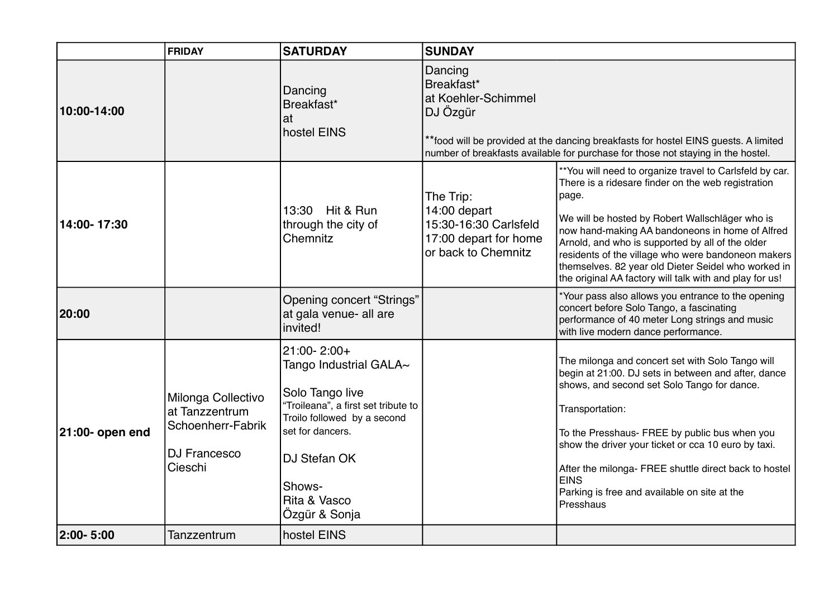|                 | <b>FRIDAY</b>                                                                               | <b>SATURDAY</b>                                                                                                                                                                                                     | <b>SUNDAY</b>                                                                                                                                                                                                                        |                                                                                                                                                                                                                                                                                                                                                                                                                                                           |
|-----------------|---------------------------------------------------------------------------------------------|---------------------------------------------------------------------------------------------------------------------------------------------------------------------------------------------------------------------|--------------------------------------------------------------------------------------------------------------------------------------------------------------------------------------------------------------------------------------|-----------------------------------------------------------------------------------------------------------------------------------------------------------------------------------------------------------------------------------------------------------------------------------------------------------------------------------------------------------------------------------------------------------------------------------------------------------|
| 10:00-14:00     |                                                                                             | Dancing<br>Breakfast*<br>at<br>hostel EINS                                                                                                                                                                          | Dancing<br>Breakfast*<br>at Koehler-Schimmel<br>DJ Özgür<br>** food will be provided at the dancing breakfasts for hostel EINS guests. A limited<br>number of breakfasts available for purchase for those not staying in the hostel. |                                                                                                                                                                                                                                                                                                                                                                                                                                                           |
| 14:00-17:30     |                                                                                             | 13:30 Hit & Run<br>through the city of<br>Chemnitz                                                                                                                                                                  | The Trip:<br>14:00 depart<br>15:30-16:30 Carlsfeld<br>17:00 depart for home<br>or back to Chemnitz                                                                                                                                   | ** You will need to organize travel to Carlsfeld by car.<br>There is a ridesare finder on the web registration<br>page.<br>We will be hosted by Robert Wallschläger who is<br>now hand-making AA bandoneons in home of Alfred<br>Arnold, and who is supported by all of the older<br>residents of the village who were bandoneon makers<br>themselves. 82 year old Dieter Seidel who worked in<br>the original AA factory will talk with and play for us! |
| 20:00           |                                                                                             | <b>Opening concert "Strings"</b><br>at gala venue- all are<br>invited!                                                                                                                                              |                                                                                                                                                                                                                                      | *Your pass also allows you entrance to the opening<br>concert before Solo Tango, a fascinating<br>performance of 40 meter Long strings and music<br>with live modern dance performance.                                                                                                                                                                                                                                                                   |
| 21:00- open end | Milonga Collectivo<br>at Tanzzentrum<br>Schoenherr-Fabrik<br><b>DJ Francesco</b><br>Cieschi | 21:00-2:00+<br>Tango Industrial GALA $\sim$<br>Solo Tango live<br>"Troileana", a first set tribute to<br>Troilo followed by a second<br>set for dancers.<br>DJ Stefan OK<br>Shows-<br>Rita & Vasco<br>Özgür & Sonja |                                                                                                                                                                                                                                      | The milonga and concert set with Solo Tango will<br>begin at 21:00. DJ sets in between and after, dance<br>shows, and second set Solo Tango for dance.<br>Transportation:<br>To the Presshaus- FREE by public bus when you<br>show the driver your ticket or cca 10 euro by taxi.<br>After the milonga- FREE shuttle direct back to hostel<br><b>EINS</b><br>Parking is free and available on site at the<br>Presshaus                                    |
| 2:00-5:00       | Tanzzentrum                                                                                 | hostel EINS                                                                                                                                                                                                         |                                                                                                                                                                                                                                      |                                                                                                                                                                                                                                                                                                                                                                                                                                                           |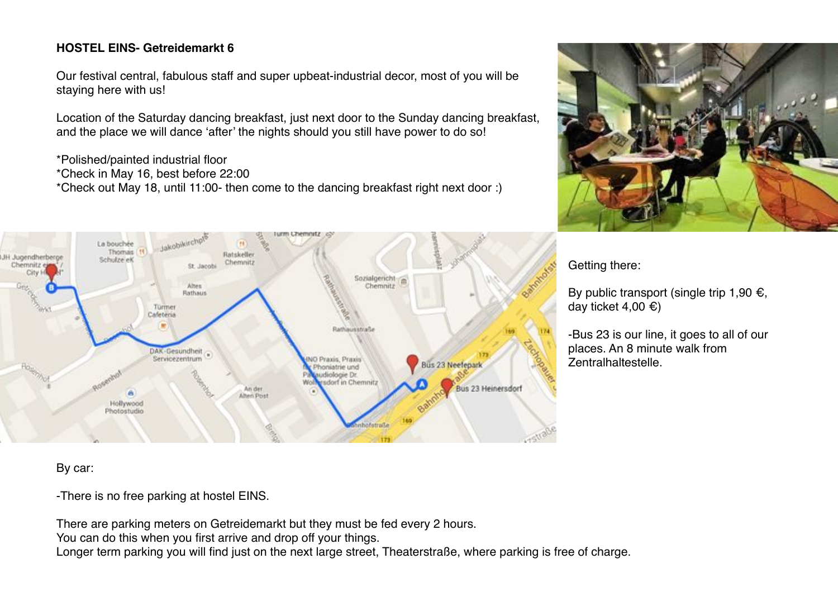#### **HOSTEL EINS- Getreidemarkt 6**

Our festival central, fabulous staff and super upbeat-industrial decor, most of you will be staying here with us!

Location of the Saturday dancing breakfast, just next door to the Sunday dancing breakfast, and the place we will dance 'after' the nights should you still have power to do so!

\*Polished/painted industrial floor \*Check in May 16, best before 22:00 \*Check out May 18, until 11:00- then come to the dancing breakfast right next door :)





Getting there:

By public transport (single trip 1,90  $\epsilon$ , day ticket 4,00  $\epsilon$ )

-Bus 23 is our line, it goes to all of our places. An 8 minute walk from Zentralhaltestelle.

By car:

-There is no free parking at hostel EINS.

There are parking meters on Getreidemarkt but they must be fed every 2 hours.

You can do this when you first arrive and drop off your things.

Longer term parking you will find just on the next large street, Theaterstraße, where parking is free of charge.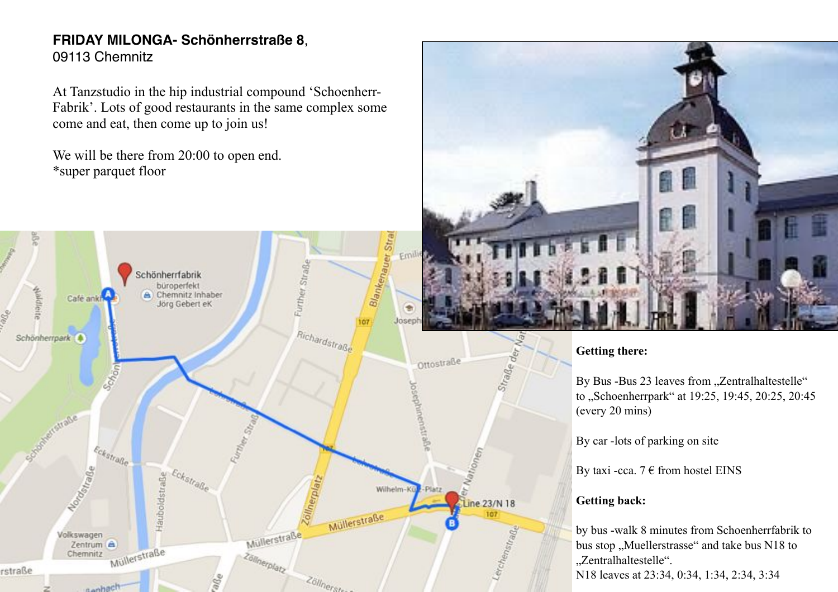### **FRIDAY MILONGA- Schönherrstraße 8**, 09113 Chemnitz

At Tanzstudio in the hip industrial compound 'Schoenherr-Fabrik'. Lots of good restaurants in the same complex some come and eat, then come up to join us!

We will be there from 20:00 to open end. \*super parquet floor





#### **Getting there:**

By Bus -Bus 23 leaves from "Zentralhaltestelle" to ..Schoenherrpark" at 19:25, 19:45, 20:25, 20:45 (every 20 mins)

By car -lots of parking on site

By taxi -cca.  $7 \in$  from hostel EINS

#### **Getting back:**

by bus -walk 8 minutes from Schoenherrfabrik to bus stop "Muellerstrasse" and take bus N18 to "Zentralhaltestelle". N18 leaves at 23:34, 0:34, 1:34, 2:34, 3:34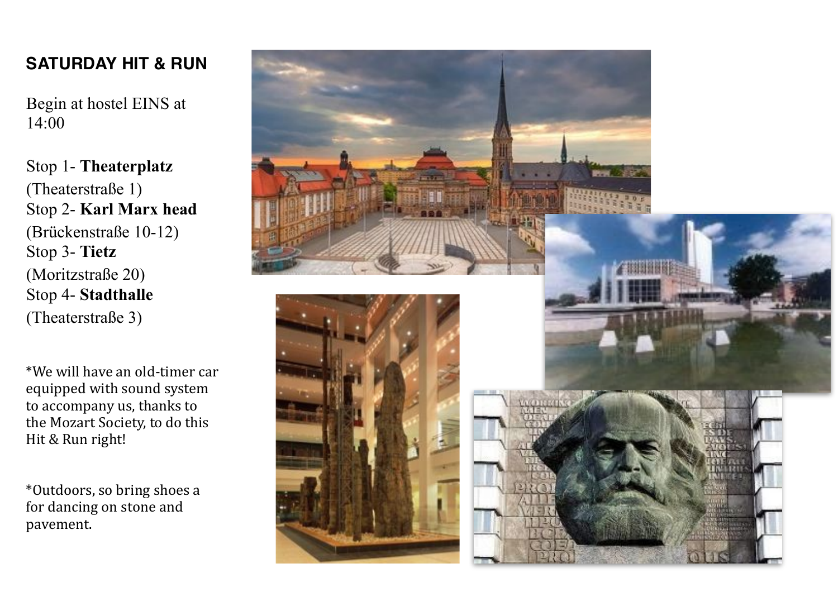# **SATURDAY HIT & RUN**

Begin at hostel EINS at 14:00

Stop 1- **Theaterplatz** (Theaterstraße 1) Stop 2- **Karl Marx head** (Brückenstraße 10-12) Stop 3- **Tietz** (Moritzstraße 20) Stop 4- **Stadthalle** (Theaterstraße 3)

 $*$ We will have an old-timer car equipped with sound system to accompany us, thanks to the Mozart Society, to do this Hit & Run right!

\*Outdoors,%so%bring%shoes%a% for dancing on stone and pavement.

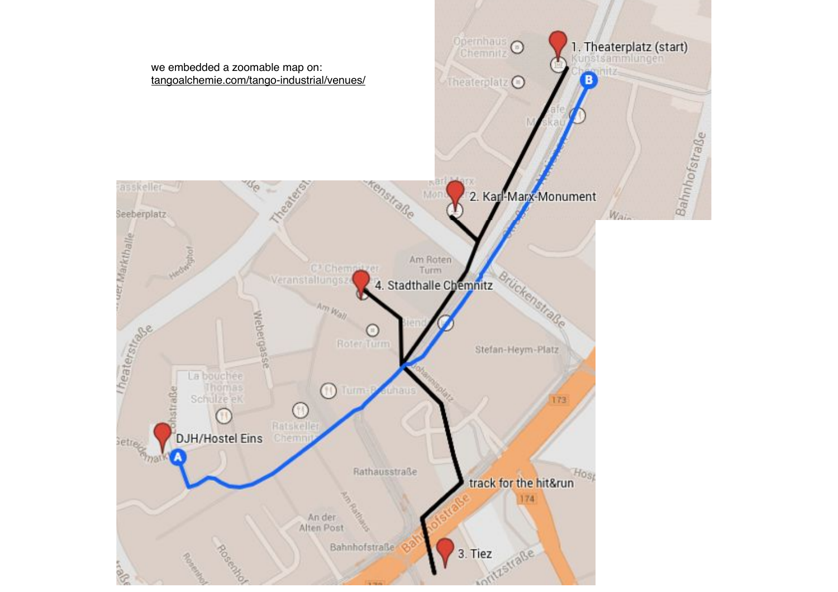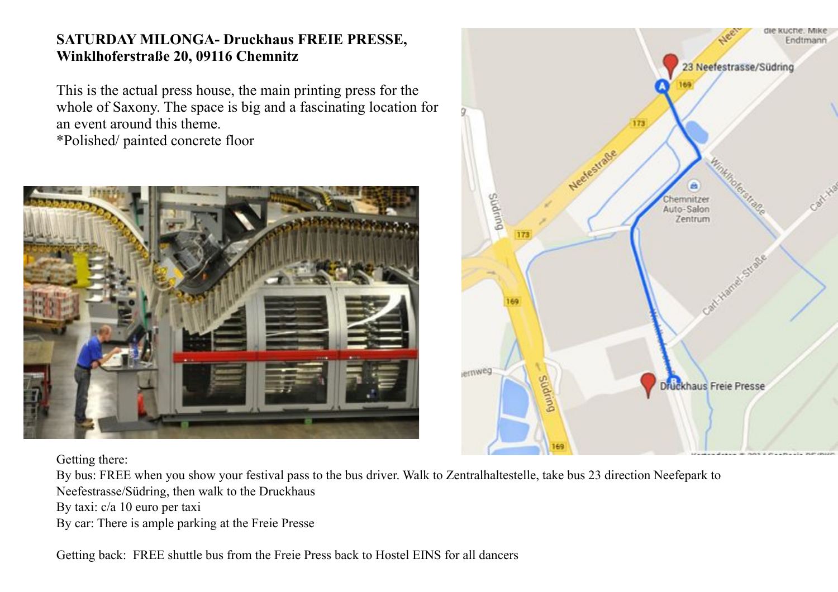## **SATURDAY MILONGA- Druckhaus FREIE PRESSE, Winklhoferstraße 20, 09116 Chemnitz**

This is the actual press house, the main printing press for the whole of Saxony. The space is big and a fascinating location for an event around this theme. \*Polished/ painted concrete floor





Getting there:

By bus: FREE when you show your festival pass to the bus driver. Walk to Zentralhaltestelle, take bus 23 direction Neefepark to Neefestrasse/Südring, then walk to the Druckhaus

By taxi: c/a 10 euro per taxi

By car: There is ample parking at the Freie Presse

Getting back: FREE shuttle bus from the Freie Press back to Hostel EINS for all dancers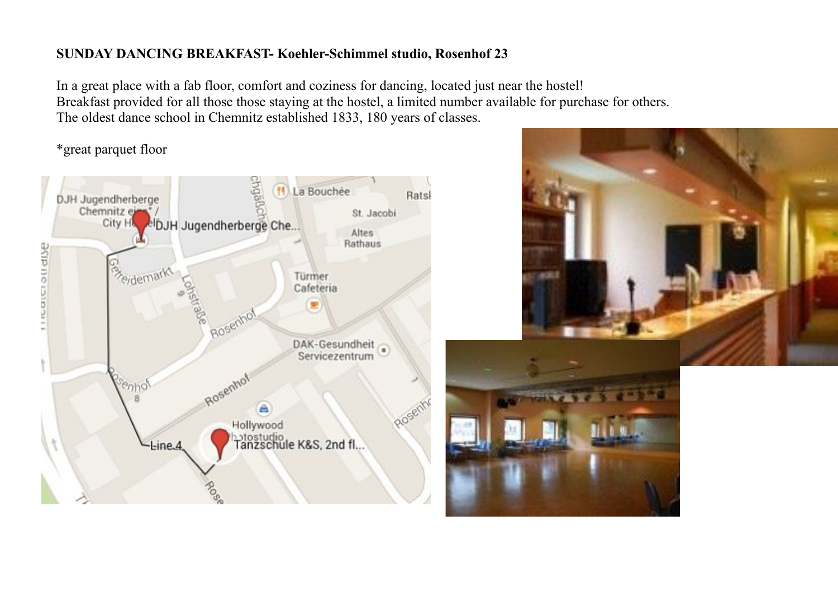#### **SUNDAY DANCING BREAKFAST- Koehler-Schimmel studio, Rosenhof 23**

In a great place with a fab floor, comfort and coziness for dancing, located just near the hostel! Breakfast provided for all those those staying at the hostel, a limited number available for purchase for others. The oldest dance school in Chemnitz established 1833, 180 years of classes.

\*great parquet floor



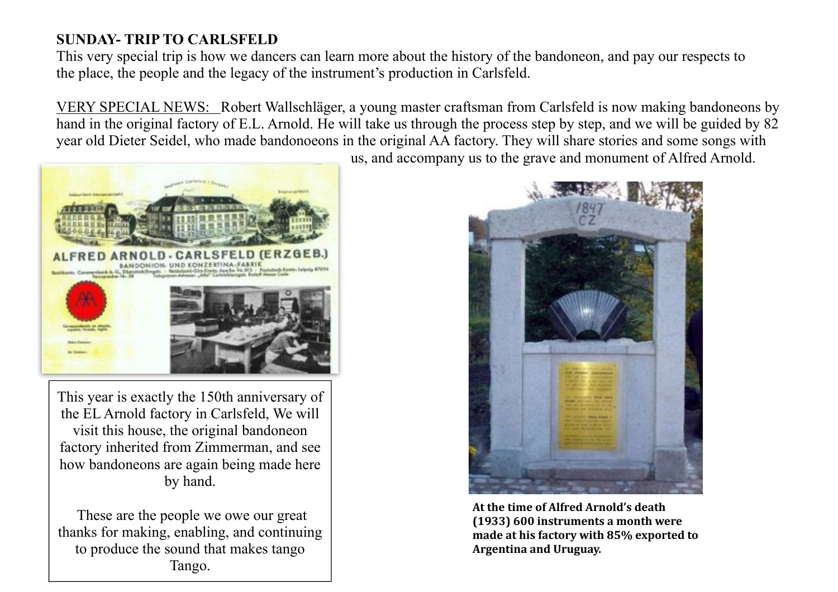## **SUNDAY- TRIP TO CARLSFELD**

This very special trip is how we dancers can learn more about the history of the bandoneon, and pay our respects to the place, the people and the legacy of the instrument's production in Carlsfeld.

VERY SPECIAL NEWS: Robert Wallschläger, a young master craftsman from Carlsfeld is now making bandoneons by hand in the original factory of E.L. Arnold. He will take us through the process step by step, and we will be guided by 82 year old Dieter Seidel, who made bandonoeons in the original AA factory. They will share stories and some songs with

us, and accompany us to the grave and monument of Alfred Arnold.



This year is exactly the 150th anniversary of the EL Arnold factory in Carlsfeld, We will visit this house, the original bandoneon factory inherited from Zimmerman, and see how bandoneons are again being made here by hand.

 These are the people we owe our great thanks for making, enabling, and continuing to produce the sound that makes tango Tango.



At the time of Alfred Arnold's death **(1933) 600 instruments a month were** made at his factory with 85% exported to Argentina and Uruguay.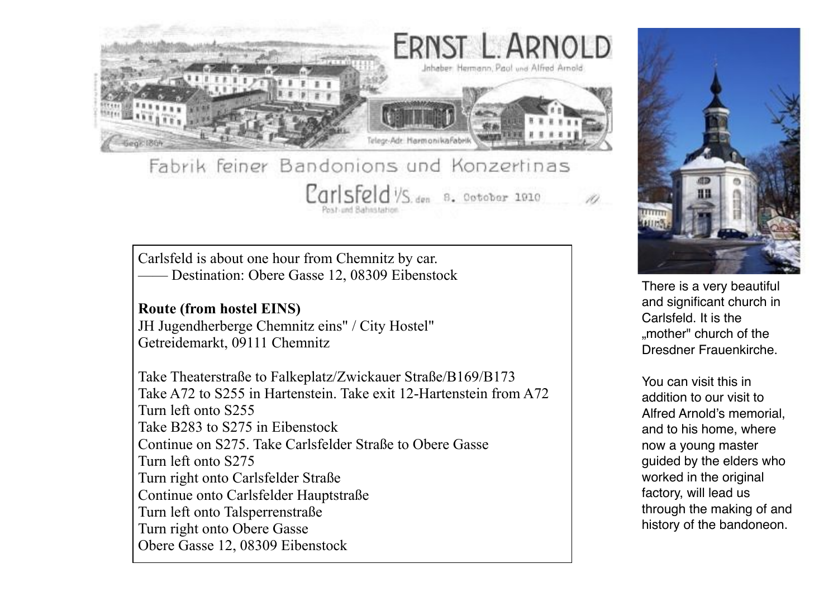

# Fabrik feiner Bandonions und Konzertinas Carlsfeld VS. den 8. Ootober 1910

Carlsfeld is about one hour from Chemnitz by car. —— Destination: Obere Gasse 12, 08309 Eibenstock

## **Route (from hostel EINS)**

JH Jugendherberge Chemnitz eins" / City Hostel" Getreidemarkt, 09111 Chemnitz

Take Theaterstraße to Falkeplatz/Zwickauer Straße/B169/B173 Take A72 to S255 in Hartenstein. Take exit 12-Hartenstein from A72 Turn left onto S255 Take B283 to S275 in Eibenstock Continue on S275. Take Carlsfelder Straße to Obere Gasse Turn left onto S275 Turn right onto Carlsfelder Straße Continue onto Carlsfelder Hauptstraße Turn left onto Talsperrenstraße Turn right onto Obere Gasse Obere Gasse 12, 08309 Eibenstock



There is a very beautiful and significant church in Carlsfeld. It is the ..mother" church of the Dresdner Frauenkirche.

You can visit this in addition to our visit to Alfred Arnold's memorial, and to his home, where now a young master guided by the elders who worked in the original factory, will lead us through the making of and history of the bandoneon.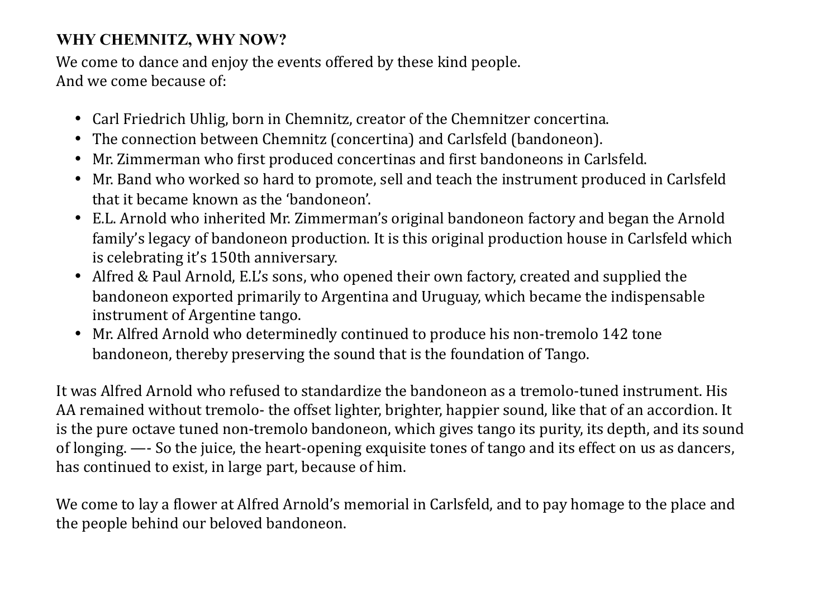# **WHY CHEMNITZ, WHY NOW?**

We come to dance and enjoy the events offered by these kind people. And we come because of:

- Carl Friedrich Uhlig, born in Chemnitz, creator of the Chemnitzer concertina.
- The connection between Chemnitz (concertina) and Carlsfeld (bandoneon).
- Mr. Zimmerman who first produced concertinas and first bandoneons in Carlsfeld.
- Mr. Band who worked so hard to promote, sell and teach the instrument produced in Carlsfeld that it became known as the 'bandoneon'.
- E.L. Arnold who inherited Mr. Zimmerman's original bandoneon factory and began the Arnold family's legacy of bandoneon production. It is this original production house in Carlsfeld which is celebrating it's 150th anniversary.
- Alfred & Paul Arnold, E.L's sons, who opened their own factory, created and supplied the bandoneon exported primarily to Argentina and Uruguay, which became the indispensable instrument of Argentine tango.
- Mr. Alfred Arnold who determinedly continued to produce his non-tremolo 142 tone bandoneon, thereby preserving the sound that is the foundation of Tango.

It was Alfred Arnold who refused to standardize the bandoneon as a tremolo-tuned instrument. His AA remained without tremolo- the offset lighter, brighter, happier sound, like that of an accordion. It is the pure octave tuned non-tremolo bandoneon, which gives tango its purity, its depth, and its sound of longing. —- So the juice, the heart-opening exquisite tones of tango and its effect on us as dancers, has continued to exist, in large part, because of him.

We come to lay a flower at Alfred Arnold's memorial in Carlsfeld, and to pay homage to the place and the people behind our beloved bandoneon.